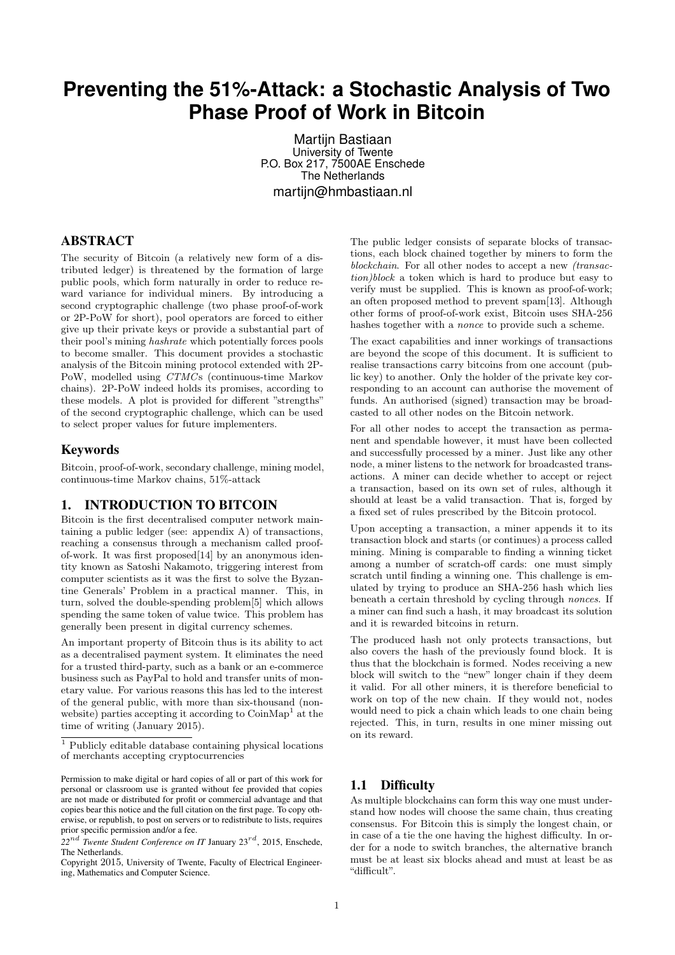## **Preventing the 51%-Attack: a Stochastic Analysis of Two Phase Proof of Work in Bitcoin**

Martijn Bastiaan University of Twente P.O. Box 217, 7500AE Enschede The Netherlands martijn@hmbastiaan.nl

#### ABSTRACT

The security of Bitcoin (a relatively new form of a distributed ledger) is threatened by the formation of large public pools, which form naturally in order to reduce reward variance for individual miners. By introducing a second cryptographic challenge (two phase proof-of-work or 2P-PoW for short), pool operators are forced to either give up their private keys or provide a substantial part of their pool's mining hashrate which potentially forces pools to become smaller. This document provides a stochastic analysis of the Bitcoin mining protocol extended with 2P-PoW, modelled using CTMCs (continuous-time Markov chains). 2P-PoW indeed holds its promises, according to these models. A plot is provided for different "strengths" of the second cryptographic challenge, which can be used to select proper values for future implementers.

#### Keywords

Bitcoin, proof-of-work, secondary challenge, mining model, continuous-time Markov chains, 51%-attack

## 1. INTRODUCTION TO BITCOIN

Bitcoin is the first decentralised computer network maintaining a public ledger (see: appendix [A\)](#page-8-0) of transactions, reaching a consensus through a mechanism called proofof-work. It was first proposed[\[14\]](#page-7-0) by an anonymous identity known as Satoshi Nakamoto, triggering interest from computer scientists as it was the first to solve the Byzantine Generals' Problem in a practical manner. This, in turn, solved the double-spending problem[\[5\]](#page-7-1) which allows spending the same token of value twice. This problem has generally been present in digital currency schemes.

An important property of Bitcoin thus is its ability to act as a decentralised payment system. It eliminates the need for a trusted third-party, such as a bank or an e-commerce business such as PayPal to hold and transfer units of monetary value. For various reasons this has led to the interest of the general public, with more than six-thousand (nonwebsite) parties accepting it according to  $\mathrm{CoinMap}^1$  $\mathrm{CoinMap}^1$  at the time of writing (January 2015).

The public ledger consists of separate blocks of transactions, each block chained together by miners to form the blockchain. For all other nodes to accept a new (transaction)block a token which is hard to produce but easy to verify must be supplied. This is known as proof-of-work; an often proposed method to prevent spam[\[13\]](#page-7-2). Although other forms of proof-of-work exist, Bitcoin uses SHA-256 hashes together with a nonce to provide such a scheme.

The exact capabilities and inner workings of transactions are beyond the scope of this document. It is sufficient to realise transactions carry bitcoins from one account (public key) to another. Only the holder of the private key corresponding to an account can authorise the movement of funds. An authorised (signed) transaction may be broadcasted to all other nodes on the Bitcoin network.

For all other nodes to accept the transaction as permanent and spendable however, it must have been collected and successfully processed by a miner. Just like any other node, a miner listens to the network for broadcasted transactions. A miner can decide whether to accept or reject a transaction, based on its own set of rules, although it should at least be a valid transaction. That is, forged by a fixed set of rules prescribed by the Bitcoin protocol.

Upon accepting a transaction, a miner appends it to its transaction block and starts (or continues) a process called mining. Mining is comparable to finding a winning ticket among a number of scratch-off cards: one must simply scratch until finding a winning one. This challenge is emulated by trying to produce an SHA-256 hash which lies beneath a certain threshold by cycling through nonces. If a miner can find such a hash, it may broadcast its solution and it is rewarded bitcoins in return.

The produced hash not only protects transactions, but also covers the hash of the previously found block. It is thus that the blockchain is formed. Nodes receiving a new block will switch to the "new" longer chain if they deem it valid. For all other miners, it is therefore beneficial to work on top of the new chain. If they would not, nodes would need to pick a chain which leads to one chain being rejected. This, in turn, results in one miner missing out on its reward.

## 1.1 Difficulty

As multiple blockchains can form this way one must understand how nodes will choose the same chain, thus creating consensus. For Bitcoin this is simply the longest chain, or in case of a tie the one having the highest difficulty. In order for a node to switch branches, the alternative branch must be at least six blocks ahead and must at least be as "difficult".

<span id="page-0-0"></span> $^{\rm 1}$  Publicly editable database containing physical locations of merchants accepting cryptocurrencies

Permission to make digital or hard copies of all or part of this work for personal or classroom use is granted without fee provided that copies are not made or distributed for profit or commercial advantage and that copies bear this notice and the full citation on the first page. To copy otherwise, or republish, to post on servers or to redistribute to lists, requires prior specific permission and/or a fee.

 $22^{nd}$  *Twente Student Conference on IT January 23<sup>rd</sup>, 2015*, Enschede, The Netherlands.

Copyright 2015, University of Twente, Faculty of Electrical Engineering, Mathematics and Computer Science.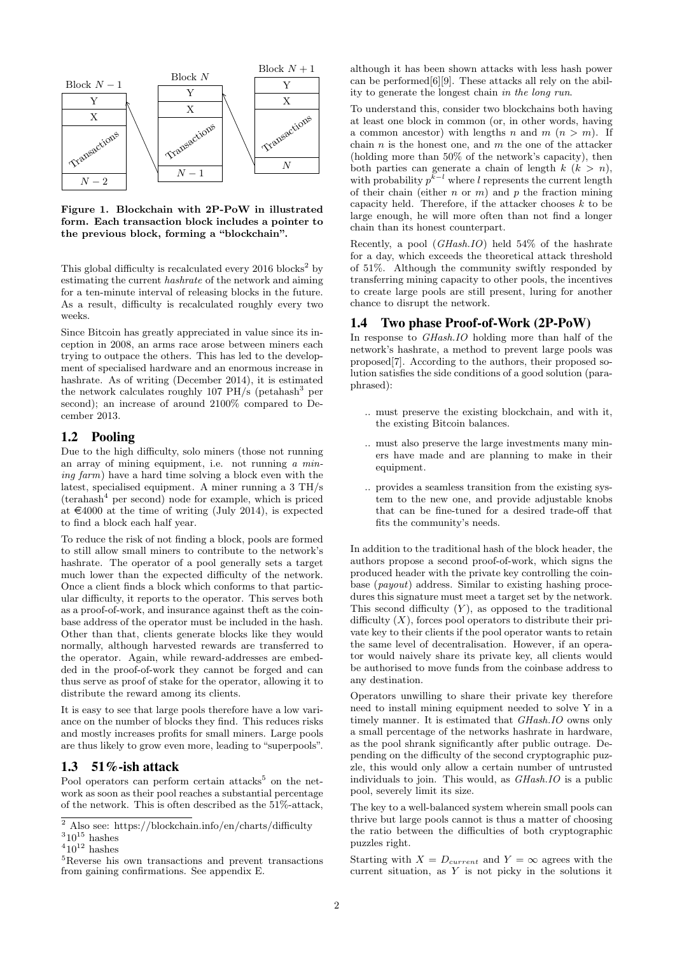

Figure 1. Blockchain with 2P-PoW in illustrated form. Each transaction block includes a pointer to the previous block, forming a "blockchain".

This global difficulty is recalculated every  $2016$  $2016$  blocks<sup>2</sup> by estimating the current hashrate of the network and aiming for a ten-minute interval of releasing blocks in the future. As a result, difficulty is recalculated roughly every two weeks.

Since Bitcoin has greatly appreciated in value since its inception in 2008, an arms race arose between miners each trying to outpace the others. This has led to the development of specialised hardware and an enormous increase in hashrate. As of writing (December 2014), it is estimated the network calculates roughly 107  $PH/s$  (petahash<sup>[3](#page-1-1)</sup> per second); an increase of around 2100% compared to December 2013.

#### 1.2 Pooling

Due to the high difficulty, solo miners (those not running an array of mining equipment, i.e. not running a mining farm) have a hard time solving a block even with the latest, specialised equipment. A miner running a 3 TH/s  $(terahash<sup>4</sup>$  $(terahash<sup>4</sup>$  $(terahash<sup>4</sup>$  per second) node for example, which is priced at  $\epsilon$ 4000 at the time of writing (July 2014), is expected to find a block each half year.

To reduce the risk of not finding a block, pools are formed to still allow small miners to contribute to the network's hashrate. The operator of a pool generally sets a target much lower than the expected difficulty of the network. Once a client finds a block which conforms to that particular difficulty, it reports to the operator. This serves both as a proof-of-work, and insurance against theft as the coinbase address of the operator must be included in the hash. Other than that, clients generate blocks like they would normally, although harvested rewards are transferred to the operator. Again, while reward-addresses are embedded in the proof-of-work they cannot be forged and can thus serve as proof of stake for the operator, allowing it to distribute the reward among its clients.

It is easy to see that large pools therefore have a low variance on the number of blocks they find. This reduces risks and mostly increases profits for small miners. Large pools are thus likely to grow even more, leading to "superpools".

## 1.3 51%-ish attack

Pool operators can perform certain attacks<sup>[5](#page-1-3)</sup> on the network as soon as their pool reaches a substantial percentage of the network. This is often described as the 51%-attack,

although it has been shown attacks with less hash power can be performed[\[6\]](#page-7-3)[\[9\]](#page-7-4). These attacks all rely on the ability to generate the longest chain in the long run.

To understand this, consider two blockchains both having at least one block in common (or, in other words, having a common ancestor) with lengths n and  $m (n > m)$ . If chain  $n$  is the honest one, and  $m$  the one of the attacker (holding more than 50% of the network's capacity), then both parties can generate a chain of length  $k$   $(k > n)$ , with probability  $p^{k-l}$  where l represents the current length of their chain (either n or  $m$ ) and p the fraction mining capacity held. Therefore, if the attacker chooses  $k$  to be large enough, he will more often than not find a longer chain than its honest counterpart.

Recently, a pool (GHash.IO) held 54% of the hashrate for a day, which exceeds the theoretical attack threshold of 51%. Although the community swiftly responded by transferring mining capacity to other pools, the incentives to create large pools are still present, luring for another chance to disrupt the network.

#### 1.4 Two phase Proof-of-Work (2P-PoW)

In response to GHash.IO holding more than half of the network's hashrate, a method to prevent large pools was proposed[\[7\]](#page-7-5). According to the authors, their proposed solution satisfies the side conditions of a good solution (paraphrased):

- .. must preserve the existing blockchain, and with it, the existing Bitcoin balances.
- .. must also preserve the large investments many miners have made and are planning to make in their equipment.
- .. provides a seamless transition from the existing system to the new one, and provide adjustable knobs that can be fine-tuned for a desired trade-off that fits the community's needs.

In addition to the traditional hash of the block header, the authors propose a second proof-of-work, which signs the produced header with the private key controlling the coinbase (payout) address. Similar to existing hashing procedures this signature must meet a target set by the network. This second difficulty  $(Y)$ , as opposed to the traditional difficulty  $(X)$ , forces pool operators to distribute their private key to their clients if the pool operator wants to retain the same level of decentralisation. However, if an operator would naively share its private key, all clients would be authorised to move funds from the coinbase address to any destination.

Operators unwilling to share their private key therefore need to install mining equipment needed to solve Y in a timely manner. It is estimated that GHash.IO owns only a small percentage of the networks hashrate in hardware, as the pool shrank significantly after public outrage. Depending on the difficulty of the second cryptographic puzzle, this would only allow a certain number of untrusted individuals to join. This would, as *GHash.IO* is a public pool, severely limit its size.

The key to a well-balanced system wherein small pools can thrive but large pools cannot is thus a matter of choosing the ratio between the difficulties of both cryptographic puzzles right.

Starting with  $X = D_{current}$  and  $Y = \infty$  agrees with the current situation, as Y is not picky in the solutions it

<span id="page-1-0"></span><sup>&</sup>lt;sup>2</sup> Also see: https://blockchain.info/en/charts/difficulty

<span id="page-1-1"></span> $310^{15}$  hashes

<span id="page-1-2"></span> $410^{12}$  hashes

<span id="page-1-3"></span><sup>5</sup>Reverse his own transactions and prevent transactions from gaining confirmations. See appendix [E.](#page-9-0)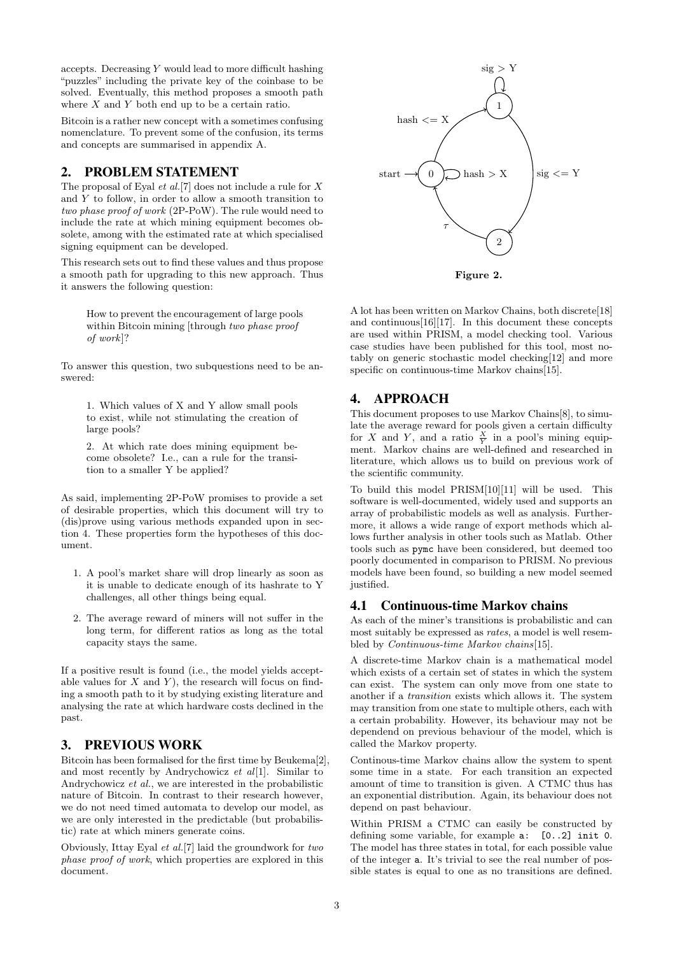accepts. Decreasing  $Y$  would lead to more difficult hashing "puzzles" including the private key of the coinbase to be solved. Eventually, this method proposes a smooth path where  $X$  and  $Y$  both end up to be a certain ratio.

Bitcoin is a rather new concept with a sometimes confusing nomenclature. To prevent some of the confusion, its terms and concepts are summarised in appendix [A.](#page-8-0)

## <span id="page-2-2"></span>2. PROBLEM STATEMENT

The proposal of Eyal  $et al.[7]$  $et al.[7]$  does not include a rule for  $X$ and  $Y$  to follow, in order to allow a smooth transition to two phase proof of work (2P-PoW). The rule would need to include the rate at which mining equipment becomes obsolete, among with the estimated rate at which specialised signing equipment can be developed.

This research sets out to find these values and thus propose a smooth path for upgrading to this new approach. Thus it answers the following question:

How to prevent the encouragement of large pools within Bitcoin mining [through two phase proof of work]?

To answer this question, two subquestions need to be answered:

1. Which values of X and Y allow small pools to exist, while not stimulating the creation of large pools?

2. At which rate does mining equipment become obsolete? I.e., can a rule for the transition to a smaller Y be applied?

As said, implementing 2P-PoW promises to provide a set of desirable properties, which this document will try to (dis)prove using various methods expanded upon in section [4.](#page-2-0) These properties form the hypotheses of this document.

- 1. A pool's market share will drop linearly as soon as it is unable to dedicate enough of its hashrate to Y challenges, all other things being equal.
- 2. The average reward of miners will not suffer in the long term, for different ratios as long as the total capacity stays the same.

If a positive result is found (i.e., the model yields acceptable values for  $X$  and  $Y$ ), the research will focus on finding a smooth path to it by studying existing literature and analysing the rate at which hardware costs declined in the past.

## 3. PREVIOUS WORK

Bitcoin has been formalised for the first time by Beukema[\[2\]](#page-7-6), and most recently by Andrychowicz et  $al[1]$  $al[1]$ . Similar to Andrychowicz et al., we are interested in the probabilistic nature of Bitcoin. In contrast to their research however, we do not need timed automata to develop our model, as we are only interested in the predictable (but probabilistic) rate at which miners generate coins.

Obviously, Ittay Eyal et al.[\[7\]](#page-7-5) laid the groundwork for two phase proof of work, which properties are explored in this document.



<span id="page-2-1"></span>Figure 2.

A lot has been written on Markov Chains, both discrete[\[18\]](#page-7-8) and continuous[\[16\]](#page-7-9)[\[17\]](#page-7-10). In this document these concepts are used within PRISM, a model checking tool. Various case studies have been published for this tool, most notably on generic stochastic model checking[\[12\]](#page-7-11) and more specific on continuous-time Markov chains[\[15\]](#page-7-12).

## <span id="page-2-0"></span>4. APPROACH

This document proposes to use Markov Chains[\[8\]](#page-7-13), to simulate the average reward for pools given a certain difficulty for X and Y, and a ratio  $\frac{X}{Y}$  in a pool's mining equipment. Markov chains are well-defined and researched in literature, which allows us to build on previous work of the scientific community.

To build this model PRISM[\[10\]](#page-7-14)[\[11\]](#page-7-15) will be used. This software is well-documented, widely used and supports an array of probabilistic models as well as analysis. Furthermore, it allows a wide range of export methods which allows further analysis in other tools such as Matlab. Other tools such as pymc have been considered, but deemed too poorly documented in comparison to PRISM. No previous models have been found, so building a new model seemed justified.

## 4.1 Continuous-time Markov chains

As each of the miner's transitions is probabilistic and can most suitably be expressed as rates, a model is well resembled by *Continuous-time Markov chains*[\[15\]](#page-7-12).

A discrete-time Markov chain is a mathematical model which exists of a certain set of states in which the system can exist. The system can only move from one state to another if a transition exists which allows it. The system may transition from one state to multiple others, each with a certain probability. However, its behaviour may not be dependend on previous behaviour of the model, which is called the Markov property.

Continous-time Markov chains allow the system to spent some time in a state. For each transition an expected amount of time to transition is given. A CTMC thus has an exponential distribution. Again, its behaviour does not depend on past behaviour.

Within PRISM a CTMC can easily be constructed by defining some variable, for example a: [0..2] init 0. The model has three states in total, for each possible value of the integer a. It's trivial to see the real number of possible states is equal to one as no transitions are defined.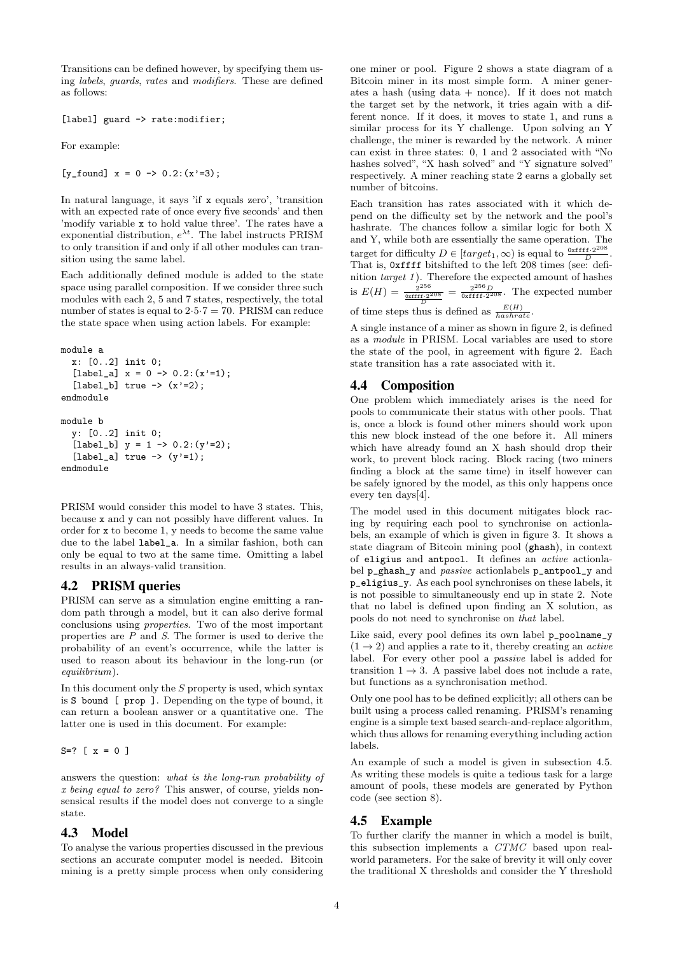Transitions can be defined however, by specifying them using labels, guards, rates and modifiers. These are defined as follows:

[label] guard -> rate:modifier;

For example:

[v found]  $x = 0 \rightarrow 0.2$ : (x'=3);

In natural language, it says 'if x equals zero', 'transition with an expected rate of once every five seconds' and then 'modify variable x to hold value three'. The rates have a exponential distribution,  $e^{\lambda t}$ . The label instructs PRISM to only transition if and only if all other modules can transition using the same label.

Each additionally defined module is added to the state space using parallel composition. If we consider three such modules with each 2, 5 and 7 states, respectively, the total number of states is equal to  $2.5 \cdot 7 = 70$ . PRISM can reduce the state space when using action labels. For example:

```
module a
  x: [0..2] init 0;
  [label_a] x = 0 \rightarrow 0.2: (x'=1);
  [label_b] true -> (x)=2;
endmodule
module b
  y: [0..2] init 0;
  [label_b] y = 1 \rightarrow 0.2: (y'=2);
  [label_a] true \rightarrow (y'=1);
endmodule
```
PRISM would consider this model to have 3 states. This, because x and y can not possibly have different values. In order for x to become 1, y needs to become the same value due to the label label\_a. In a similar fashion, both can only be equal to two at the same time. Omitting a label results in an always-valid transition.

## 4.2 PRISM queries

PRISM can serve as a simulation engine emitting a random path through a model, but it can also derive formal conclusions using properties. Two of the most important properties are P and S. The former is used to derive the probability of an event's occurrence, while the latter is used to reason about its behaviour in the long-run (or equilibrium).

In this document only the  $S$  property is used, which syntax is S bound [ prop ]. Depending on the type of bound, it can return a boolean answer or a quantitative one. The latter one is used in this document. For example:

 $S=?$  [  $x = 0$  ]

answers the question: what is the long-run probability of x being equal to zero? This answer, of course, yields nonsensical results if the model does not converge to a single state.

#### <span id="page-3-2"></span>4.3 Model

To analyse the various properties discussed in the previous sections an accurate computer model is needed. Bitcoin mining is a pretty simple process when only considering

one miner or pool. Figure [2](#page-2-1) shows a state diagram of a Bitcoin miner in its most simple form. A miner generates a hash (using data  $+$  nonce). If it does not match the target set by the network, it tries again with a different nonce. If it does, it moves to state 1, and runs a similar process for its Y challenge. Upon solving an Y challenge, the miner is rewarded by the network. A miner can exist in three states: 0, 1 and 2 associated with "No hashes solved", "X hash solved" and "Y signature solved" respectively. A miner reaching state 2 earns a globally set number of bitcoins.

Each transition has rates associated with it which depend on the difficulty set by the network and the pool's hashrate. The chances follow a similar logic for both X and Y, while both are essentially the same operation. The target for difficulty  $D \in [target_1, \infty)$  is equal to  $\frac{0 \times \text{fftf}^2}{D}$  $\frac{[f\cdot 2^{200}]}{D}$ . That is, 0xffff bitshifted to the left 208 times (see: definition  $target\ 1$ ). Therefore the expected amount of hashes is  $E(H) = \frac{2^{256}}{\frac{0 \times \text{fftf} \cdot 2^{208}}{D}} = \frac{2^{256} D}{0 \times \text{fftf} \cdot 2^{208}}$ . The expected number

of time steps thus is defined as  $\frac{E(H)}{has hrate}$ .

A single instance of a miner as shown in figure [2,](#page-2-1) is defined as a module in PRISM. Local variables are used to store the state of the pool, in agreement with figure [2.](#page-2-1) Each state transition has a rate associated with it.

## <span id="page-3-1"></span>4.4 Composition

One problem which immediately arises is the need for pools to communicate their status with other pools. That is, once a block is found other miners should work upon this new block instead of the one before it. All miners which have already found an X hash should drop their work, to prevent block racing. Block racing (two miners finding a block at the same time) in itself however can be safely ignored by the model, as this only happens once every ten days[\[4\]](#page-7-16).

The model used in this document mitigates block racing by requiring each pool to synchronise on actionlabels, an example of which is given in figure [3.](#page-4-0) It shows a state diagram of Bitcoin mining pool (ghash), in context of eligius and antpool. It defines an active actionlabel p\_ghash\_y and passive actionlabels p\_antpool\_y and p\_eligius\_y. As each pool synchronises on these labels, it is not possible to simultaneously end up in state 2. Note that no label is defined upon finding an X solution, as pools do not need to synchronise on that label.

Like said, every pool defines its own label p\_poolname\_y  $(1 \rightarrow 2)$  and applies a rate to it, thereby creating an *active* label. For every other pool a passive label is added for transition  $1 \rightarrow 3$ . A passive label does not include a rate, but functions as a synchronisation method.

Only one pool has to be defined explicitly; all others can be built using a process called renaming. PRISM's renaming engine is a simple text based search-and-replace algorithm, which thus allows for renaming everything including action labels.

An example of such a model is given in subsection [4.5.](#page-3-0) As writing these models is quite a tedious task for a large amount of pools, these models are generated by Python code (see section [8\)](#page-7-17).

#### <span id="page-3-0"></span>4.5 Example

To further clarify the manner in which a model is built, this subsection implements a CTMC based upon realworld parameters. For the sake of brevity it will only cover the traditional X thresholds and consider the Y threshold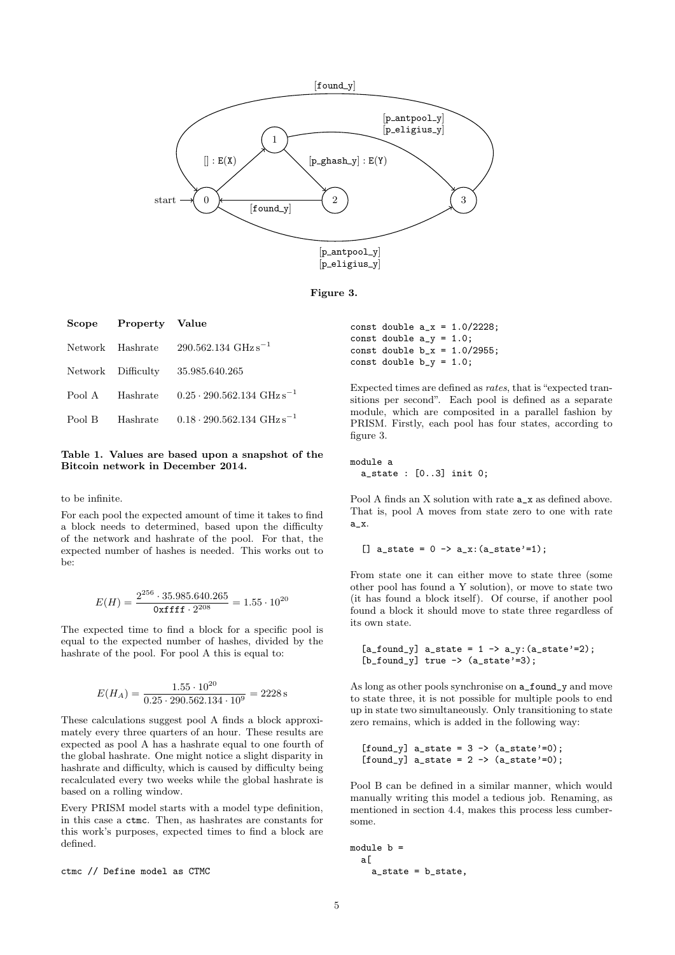

Figure 3.

|        | Scope Property Value |                                                      |
|--------|----------------------|------------------------------------------------------|
|        |                      | Network Hashrate $290.562.134 \text{ GHz s}^{-1}$    |
|        |                      | Network Difficulty 35.985.640.265                    |
|        | Pool A Hashrate      | $0.25 \cdot 290.562.134 \text{ GHz s}^{-1}$          |
| Pool B |                      | Hashrate $0.18 \cdot 290.562.134 \text{ GHz s}^{-1}$ |

#### Table 1. Values are based upon a snapshot of the Bitcoin network in December 2014.

to be infinite.

For each pool the expected amount of time it takes to find a block needs to determined, based upon the difficulty of the network and hashrate of the pool. For that, the expected number of hashes is needed. This works out to be:

$$
E(H) = \frac{2^{256} \cdot 35.985.640.265}{0 \times \text{ffff} \cdot 2^{208}} = 1.55 \cdot 10^{20}
$$

The expected time to find a block for a specific pool is equal to the expected number of hashes, divided by the hashrate of the pool. For pool A this is equal to:

$$
E(H_A) = \frac{1.55 \cdot 10^{20}}{0.25 \cdot 290.562.134 \cdot 10^9} = 2228 \,\mathrm{s}
$$

These calculations suggest pool A finds a block approximately every three quarters of an hour. These results are expected as pool A has a hashrate equal to one fourth of the global hashrate. One might notice a slight disparity in hashrate and difficulty, which is caused by difficulty being recalculated every two weeks while the global hashrate is based on a rolling window.

Every PRISM model starts with a model type definition, in this case a ctmc. Then, as hashrates are constants for this work's purposes, expected times to find a block are defined.

ctmc // Define model as CTMC

<span id="page-4-0"></span>

|                            |  | const double $a_x = 1.0/2228$ ; |
|----------------------------|--|---------------------------------|
| const double $a_y = 1.0$ ; |  |                                 |
|                            |  | const double $b_x = 1.0/2955$ ; |
| const double $b_y = 1.0$ ; |  |                                 |

Expected times are defined as rates, that is "expected transitions per second". Each pool is defined as a separate module, which are composited in a parallel fashion by PRISM. Firstly, each pool has four states, according to figure [3.](#page-4-0)

module a a\_state : [0..3] init 0;

Pool A finds an X solution with rate  $a_$ x as defined above. That is, pool A moves from state zero to one with rate a\_x.

 $[$ ] a\_state = 0 -> a\_x: $(a_ =$ state'=1);

From state one it can either move to state three (some other pool has found a Y solution), or move to state two (it has found a block itself). Of course, if another pool found a block it should move to state three regardless of its own state.

```
[a_found_y] a_state = 1 -> a_y: (a_sstate' = 2);
[b_found_y] true -> (a_sstate)=3);
```
As long as other pools synchronise on a\_found\_y and move to state three, it is not possible for multiple pools to end up in state two simultaneously. Only transitioning to state zero remains, which is added in the following way:

```
[found_y] a_state = 3 -> (a_state')=0;
[found_y] a_state = 2 -> (a_state')=0;
```
Pool B can be defined in a similar manner, which would manually writing this model a tedious job. Renaming, as mentioned in section [4.4,](#page-3-1) makes this process less cumbersome.

```
module b =a[
    a_state = b_state,
```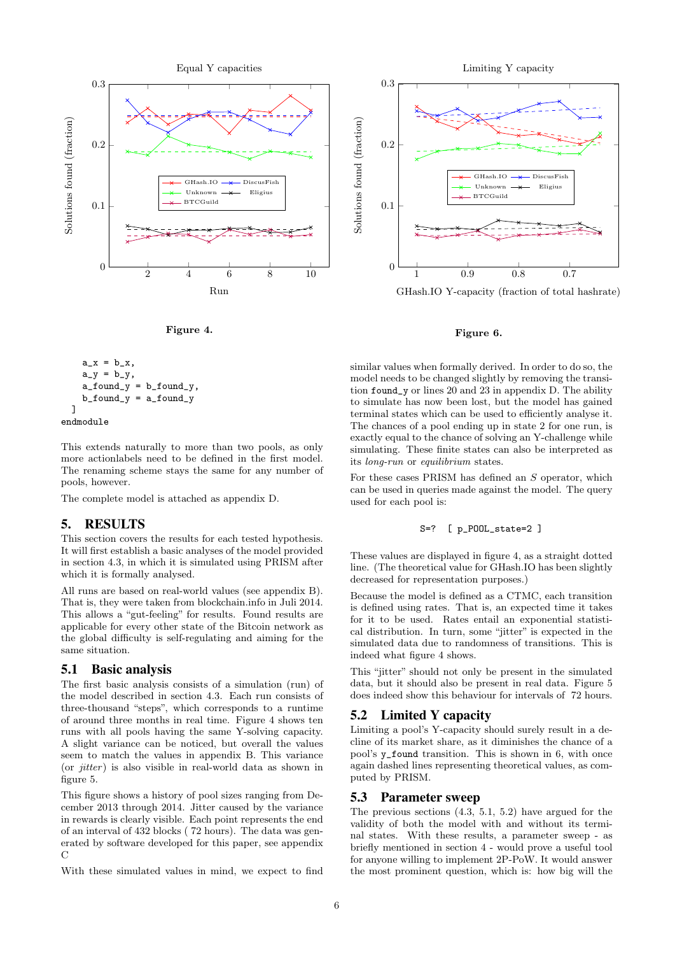

<span id="page-5-0"></span>Figure 4.

$$
a_x = b_x,
$$
  
\n
$$
a_y = b_y,
$$
  
\n
$$
a_found_y = b_found_y,
$$
  
\n
$$
b_found_y = a_found_y
$$

$$
{\tt endmodule}
$$

This extends naturally to more than two pools, as only more actionlabels need to be defined in the first model. The renaming scheme stays the same for any number of pools, however.

The complete model is attached as appendix [D.](#page-9-1)

#### <span id="page-5-5"></span>5. RESULTS

This section covers the results for each tested hypothesis. It will first establish a basic analyses of the model provided in section [4.3,](#page-3-2) in which it is simulated using PRISM after which it is formally analysed.

All runs are based on real-world values (see appendix [B\)](#page-8-1). That is, they were taken from blockchain.info in Juli 2014. This allows a "gut-feeling" for results. Found results are applicable for every other state of the Bitcoin network as the global difficulty is self-regulating and aiming for the same situation.

#### <span id="page-5-2"></span>5.1 Basic analysis

The first basic analysis consists of a simulation (run) of the model described in section [4.3.](#page-3-2) Each run consists of three-thousand "steps", which corresponds to a runtime of around three months in real time. Figure [4](#page-5-0) shows ten runs with all pools having the same Y-solving capacity. A slight variance can be noticed, but overall the values seem to match the values in appendix [B.](#page-8-1) This variance (or  $\text{i}$ tter) is also visible in real-world data as shown in figure [5.](#page-6-0)

This figure shows a history of pool sizes ranging from December 2013 through 2014. Jitter caused by the variance in rewards is clearly visible. Each point represents the end of an interval of 432 blocks ( 72 hours). The data was generated by software developed for this paper, see appendix  $\mathcal{C}$  $\mathcal{C}$  $\mathcal{C}$ 

With these simulated values in mind, we expect to find



GHash.IO Y-capacity (fraction of total hashrate)

#### <span id="page-5-1"></span>Figure 6.

similar values when formally derived. In order to do so, the model needs to be changed slightly by removing the transition found\_y or lines 20 and 23 in appendix [D.](#page-9-1) The ability to simulate has now been lost, but the model has gained terminal states which can be used to efficiently analyse it. The chances of a pool ending up in state 2 for one run, is exactly equal to the chance of solving an Y-challenge while simulating. These finite states can also be interpreted as its long-run or equilibrium states.

For these cases PRISM has defined an S operator, which can be used in queries made against the model. The query used for each pool is:

#### S=? [ p\_POOL\_state=2 ]

These values are displayed in figure [4,](#page-5-0) as a straight dotted line. (The theoretical value for GHash.IO has been slightly decreased for representation purposes.)

Because the model is defined as a CTMC, each transition is defined using rates. That is, an expected time it takes for it to be used. Rates entail an exponential statistical distribution. In turn, some "jitter" is expected in the simulated data due to randomness of transitions. This is indeed what figure [4](#page-5-0) shows.

This "jitter" should not only be present in the simulated data, but it should also be present in real data. Figure [5](#page-6-0) does indeed show this behaviour for intervals of 72 hours.

#### <span id="page-5-3"></span>5.2 Limited Y capacity

Limiting a pool's Y-capacity should surely result in a decline of its market share, as it diminishes the chance of a pool's y\_found transition. This is shown in [6,](#page-5-1) with once again dashed lines representing theoretical values, as computed by PRISM.

#### <span id="page-5-4"></span>5.3 Parameter sweep

The previous sections [\(4.3,](#page-3-2) [5.1,](#page-5-2) [5.2\)](#page-5-3) have argued for the validity of both the model with and without its terminal states. With these results, a parameter sweep - as briefly mentioned in section [4](#page-2-0) - would prove a useful tool for anyone willing to implement 2P-PoW. It would answer the most prominent question, which is: how big will the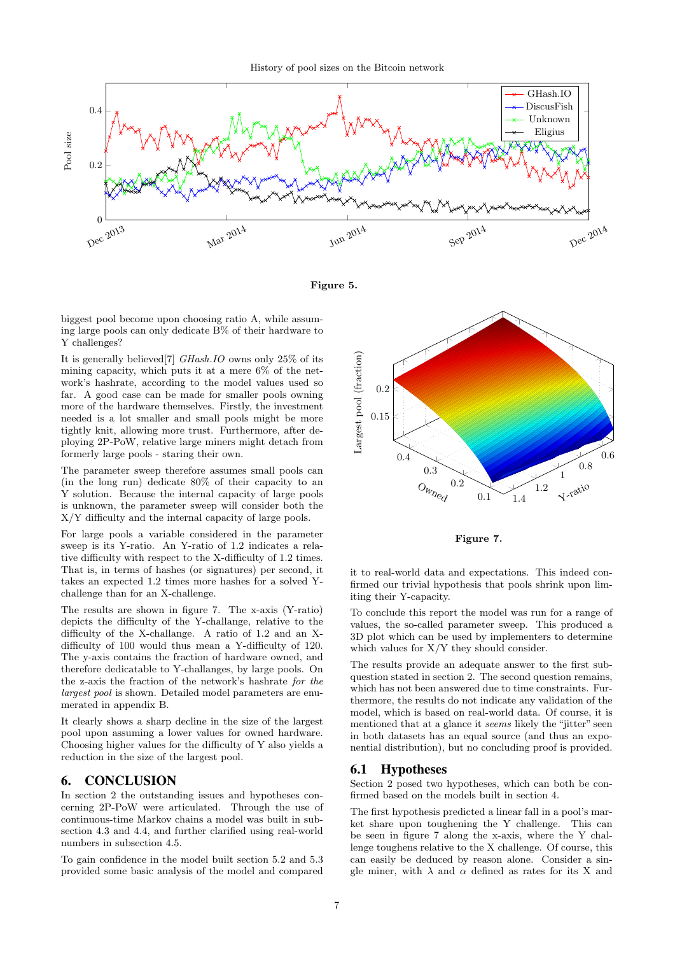

<span id="page-6-0"></span>Figure 5.

biggest pool become upon choosing ratio A, while assuming large pools can only dedicate B% of their hardware to Y challenges?

It is generally believed[\[7\]](#page-7-5) GHash.IO owns only 25% of its mining capacity, which puts it at a mere 6% of the network's hashrate, according to the model values used so far. A good case can be made for smaller pools owning more of the hardware themselves. Firstly, the investment needed is a lot smaller and small pools might be more tightly knit, allowing more trust. Furthermore, after deploying 2P-PoW, relative large miners might detach from formerly large pools - staring their own.

The parameter sweep therefore assumes small pools can (in the long run) dedicate 80% of their capacity to an Y solution. Because the internal capacity of large pools is unknown, the parameter sweep will consider both the X/Y difficulty and the internal capacity of large pools.

For large pools a variable considered in the parameter sweep is its Y-ratio. An Y-ratio of 1.2 indicates a relative difficulty with respect to the X-difficulty of 1.2 times. That is, in terms of hashes (or signatures) per second, it takes an expected 1.2 times more hashes for a solved Ychallenge than for an X-challenge.

The results are shown in figure [7.](#page-6-1) The x-axis (Y-ratio) depicts the difficulty of the Y-challange, relative to the difficulty of the X-challange. A ratio of 1.2 and an Xdifficulty of 100 would thus mean a Y-difficulty of 120. The y-axis contains the fraction of hardware owned, and therefore dedicatable to Y-challanges, by large pools. On the z-axis the fraction of the network's hashrate for the largest pool is shown. Detailed model parameters are enumerated in appendix [B.](#page-8-1)

It clearly shows a sharp decline in the size of the largest pool upon assuming a lower values for owned hardware. Choosing higher values for the difficulty of Y also yields a reduction in the size of the largest pool.

## 6. CONCLUSION

In section [2](#page-2-2) the outstanding issues and hypotheses concerning 2P-PoW were articulated. Through the use of continuous-time Markov chains a model was built in subsection [4.3](#page-3-2) and [4.4,](#page-3-1) and further clarified using real-world numbers in subsection [4.5.](#page-3-0)

To gain confidence in the model built section [5.2](#page-5-3) and [5.3](#page-5-4) provided some basic analysis of the model and compared



<span id="page-6-1"></span>Figure 7.

it to real-world data and expectations. This indeed confirmed our trivial hypothesis that pools shrink upon limiting their Y-capacity.

To conclude this report the model was run for a range of values, the so-called parameter sweep. This produced a 3D plot which can be used by implementers to determine which values for  $X/Y$  they should consider.

The results provide an adequate answer to the first subquestion stated in section [2.](#page-2-2) The second question remains, which has not been answered due to time constraints. Furthermore, the results do not indicate any validation of the model, which is based on real-world data. Of course, it is mentioned that at a glance it seems likely the "jitter" seen in both datasets has an equal source (and thus an exponential distribution), but no concluding proof is provided.

#### 6.1 Hypotheses

Section [2](#page-2-2) posed two hypotheses, which can both be confirmed based on the models built in section [4.](#page-2-0)

The first hypothesis predicted a linear fall in a pool's market share upon toughening the Y challenge. This can be seen in figure [7](#page-6-1) along the x-axis, where the Y challenge toughens relative to the X challenge. Of course, this can easily be deduced by reason alone. Consider a single miner, with  $\lambda$  and  $\alpha$  defined as rates for its X and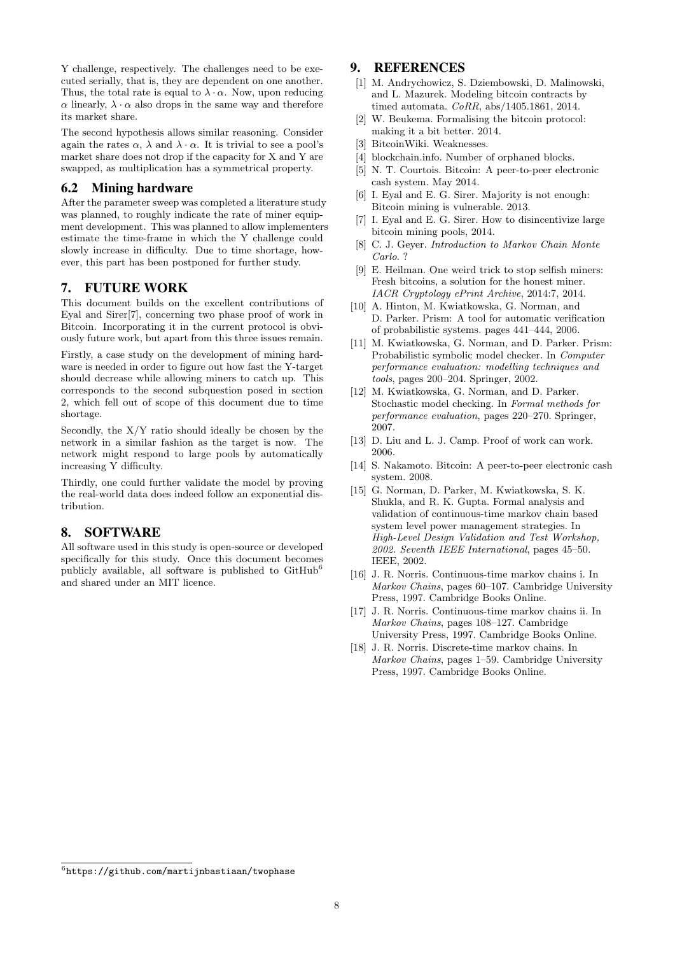Y challenge, respectively. The challenges need to be executed serially, that is, they are dependent on one another. Thus, the total rate is equal to  $\lambda \cdot \alpha$ . Now, upon reducing  $\alpha$  linearly,  $\lambda \cdot \alpha$  also drops in the same way and therefore its market share.

The second hypothesis allows similar reasoning. Consider again the rates  $\alpha$ ,  $\lambda$  and  $\lambda \cdot \alpha$ . It is trivial to see a pool's market share does not drop if the capacity for X and Y are swapped, as multiplication has a symmetrical property.

## 6.2 Mining hardware

After the parameter sweep was completed a literature study was planned, to roughly indicate the rate of miner equipment development. This was planned to allow implementers estimate the time-frame in which the Y challenge could slowly increase in difficulty. Due to time shortage, however, this part has been postponed for further study.

## 7. FUTURE WORK

This document builds on the excellent contributions of Eyal and Sirer[\[7\]](#page-7-5), concerning two phase proof of work in Bitcoin. Incorporating it in the current protocol is obviously future work, but apart from this three issues remain.

Firstly, a case study on the development of mining hardware is needed in order to figure out how fast the Y-target should decrease while allowing miners to catch up. This corresponds to the second subquestion posed in section [2,](#page-2-2) which fell out of scope of this document due to time shortage.

Secondly, the X/Y ratio should ideally be chosen by the network in a similar fashion as the target is now. The network might respond to large pools by automatically increasing Y difficulty.

Thirdly, one could further validate the model by proving the real-world data does indeed follow an exponential distribution.

## <span id="page-7-17"></span>8. SOFTWARE

All software used in this study is open-source or developed specifically for this study. Once this document becomes publicly available, all software is published to  $\text{GitHub}^6$  $\text{GitHub}^6$ and shared under an MIT licence.

## 9. REFERENCES

- <span id="page-7-7"></span>[1] M. Andrychowicz, S. Dziembowski, D. Malinowski, and L. Mazurek. Modeling bitcoin contracts by timed automata. CoRR, abs/1405.1861, 2014.
- <span id="page-7-6"></span>[2] W. Beukema. Formalising the bitcoin protocol: making it a bit better. 2014.
- <span id="page-7-19"></span>[3] BitcoinWiki. Weaknesses.
- <span id="page-7-16"></span>[4] blockchain.info. Number of orphaned blocks.
- <span id="page-7-1"></span>[5] N. T. Courtois. Bitcoin: A peer-to-peer electronic cash system. May 2014.
- <span id="page-7-3"></span>[6] I. Eyal and E. G. Sirer. Majority is not enough: Bitcoin mining is vulnerable. 2013.
- <span id="page-7-5"></span>[7] I. Eyal and E. G. Sirer. How to disincentivize large bitcoin mining pools, 2014.
- <span id="page-7-13"></span>[8] C. J. Geyer. Introduction to Markov Chain Monte Carlo. ?
- <span id="page-7-4"></span>[9] E. Heilman. One weird trick to stop selfish miners: Fresh bitcoins, a solution for the honest miner. IACR Cryptology ePrint Archive, 2014:7, 2014.
- <span id="page-7-14"></span>[10] A. Hinton, M. Kwiatkowska, G. Norman, and D. Parker. Prism: A tool for automatic verification of probabilistic systems. pages 441–444, 2006.
- <span id="page-7-15"></span>[11] M. Kwiatkowska, G. Norman, and D. Parker. Prism: Probabilistic symbolic model checker. In Computer performance evaluation: modelling techniques and tools, pages 200–204. Springer, 2002.
- <span id="page-7-11"></span>[12] M. Kwiatkowska, G. Norman, and D. Parker. Stochastic model checking. In Formal methods for performance evaluation, pages 220–270. Springer, 2007.
- <span id="page-7-2"></span>[13] D. Liu and L. J. Camp. Proof of work can work. 2006.
- <span id="page-7-0"></span>[14] S. Nakamoto. Bitcoin: A peer-to-peer electronic cash system. 2008.
- <span id="page-7-12"></span>[15] G. Norman, D. Parker, M. Kwiatkowska, S. K. Shukla, and R. K. Gupta. Formal analysis and validation of continuous-time markov chain based system level power management strategies. In High-Level Design Validation and Test Workshop, 2002. Seventh IEEE International, pages 45–50. IEEE, 2002.
- <span id="page-7-9"></span>[16] J. R. Norris. Continuous-time markov chains i. In Markov Chains, pages 60–107. Cambridge University Press, 1997. Cambridge Books Online.
- <span id="page-7-10"></span>[17] J. R. Norris. Continuous-time markov chains ii. In Markov Chains, pages 108–127. Cambridge University Press, 1997. Cambridge Books Online.
- <span id="page-7-8"></span>[18] J. R. Norris. Discrete-time markov chains. In Markov Chains, pages 1–59. Cambridge University Press, 1997. Cambridge Books Online.

<span id="page-7-18"></span> $^6$ https://github.com/martijnbastiaan/twophase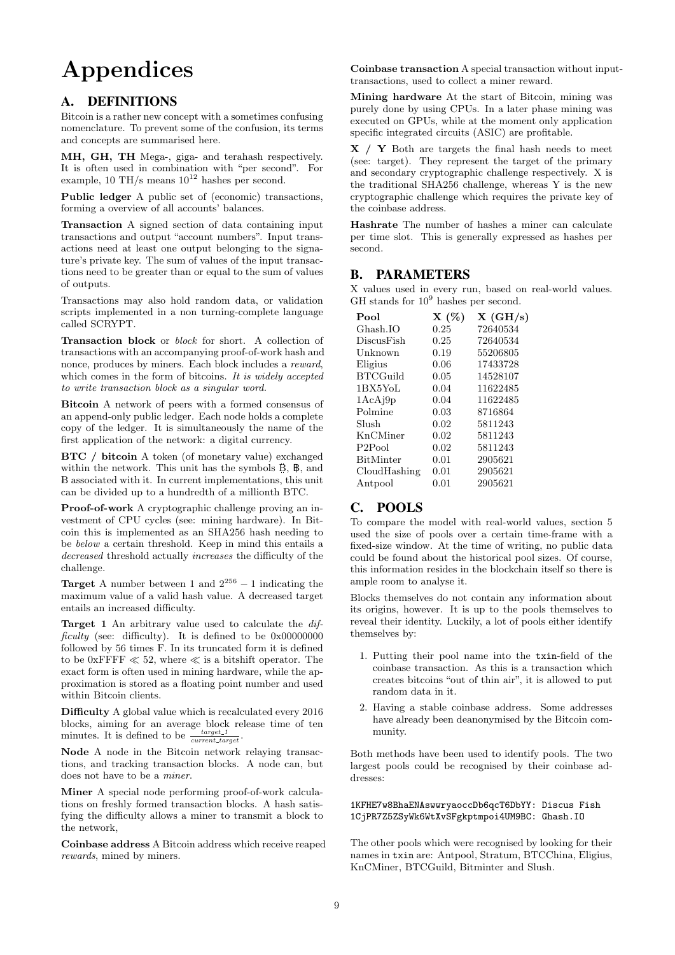# Appendices

## <span id="page-8-0"></span>A. DEFINITIONS

Bitcoin is a rather new concept with a sometimes confusing nomenclature. To prevent some of the confusion, its terms and concepts are summarised here.

MH, GH, TH Mega-, giga- and terahash respectively. It is often used in combination with "per second". For example, 10 TH/s means  $10^{12}$  hashes per second.

Public ledger A public set of (economic) transactions, forming a overview of all accounts' balances.

Transaction A signed section of data containing input transactions and output "account numbers". Input transactions need at least one output belonging to the signature's private key. The sum of values of the input transactions need to be greater than or equal to the sum of values of outputs.

Transactions may also hold random data, or validation scripts implemented in a non turning-complete language called SCRYPT.

Transaction block or block for short. A collection of transactions with an accompanying proof-of-work hash and nonce, produces by miners. Each block includes a reward, which comes in the form of bitcoins. It is widely accepted to write transaction block as a singular word.

Bitcoin A network of peers with a formed consensus of an append-only public ledger. Each node holds a complete copy of the ledger. It is simultaneously the name of the first application of the network: a digital currency.

BTC / bitcoin A token (of monetary value) exchanged within the network. This unit has the symbols B, B, and -B associated with it. In current implementations, this unit can be divided up to a hundredth of a millionth BTC.

Proof-of-work A cryptographic challenge proving an investment of CPU cycles (see: mining hardware). In Bitcoin this is implemented as an SHA256 hash needing to be below a certain threshold. Keep in mind this entails a decreased threshold actually increases the difficulty of the challenge.

**Target** A number between 1 and  $2^{256} - 1$  indicating the maximum value of a valid hash value. A decreased target entails an increased difficulty.

Target 1 An arbitrary value used to calculate the difficulty (see: difficulty). It is defined to be 0x000000000 followed by 56 times F. In its truncated form it is defined to be 0xFFFF  $\ll$  52, where  $\ll$  is a bitshift operator. The exact form is often used in mining hardware, while the approximation is stored as a floating point number and used within Bitcoin clients.

Difficulty A global value which is recalculated every 2016 blocks, aiming for an average block release time of ten minutes. It is defined to be  $\frac{target\_1}{current\_target}$ .

Node A node in the Bitcoin network relaying transactions, and tracking transaction blocks. A node can, but does not have to be a miner.

Miner A special node performing proof-of-work calculations on freshly formed transaction blocks. A hash satisfying the difficulty allows a miner to transmit a block to the network,

Coinbase address A Bitcoin address which receive reaped rewards, mined by miners.

Coinbase transaction A special transaction without inputtransactions, used to collect a miner reward.

Mining hardware At the start of Bitcoin, mining was purely done by using CPUs. In a later phase mining was executed on GPUs, while at the moment only application specific integrated circuits (ASIC) are profitable.

 $X / Y$  Both are targets the final hash needs to meet (see: target). They represent the target of the primary and secondary cryptographic challenge respectively. X is the traditional SHA256 challenge, whereas Y is the new cryptographic challenge which requires the private key of the coinbase address.

Hashrate The number of hashes a miner can calculate per time slot. This is generally expressed as hashes per second.

## <span id="page-8-1"></span>B. PARAMETERS

X values used in every run, based on real-world values. GH stands for  $10^9$  hashes per second.

| Pool               | $X(\%)$ | $X$ (GH/s) |
|--------------------|---------|------------|
| Ghash.IO           | 0.25    | 72640534   |
| DiscusFish         | 0.25    | 72640534   |
| Unknown            | 0.19    | 55206805   |
| Eligius            | 0.06    | 17433728   |
| <b>BTCGuild</b>    | 0.05    | 14528107   |
| 1BX5YoL            | 0.04    | 11622485   |
| 1AcAj9p            | 0.04    | 11622485   |
| Polmine            | 0.03    | 8716864    |
| Slush              | 0.02    | 5811243    |
| KnCMiner           | 0.02    | 5811243    |
| P <sub>2Pool</sub> | 0.02    | 5811243    |
| BitMinter          | 0.01    | 2905621    |
| CloudHashing       | 0.01    | 2905621    |
| Antpool            | 0.01    | 2905621    |

## <span id="page-8-2"></span>C. POOLS

To compare the model with real-world values, section [5](#page-5-5) used the size of pools over a certain time-frame with a fixed-size window. At the time of writing, no public data could be found about the historical pool sizes. Of course, this information resides in the blockchain itself so there is ample room to analyse it.

Blocks themselves do not contain any information about its origins, however. It is up to the pools themselves to reveal their identity. Luckily, a lot of pools either identify themselves by:

- 1. Putting their pool name into the txin-field of the coinbase transaction. As this is a transaction which creates bitcoins "out of thin air", it is allowed to put random data in it.
- 2. Having a stable coinbase address. Some addresses have already been deanonymised by the Bitcoin community.

Both methods have been used to identify pools. The two largest pools could be recognised by their coinbase addresses:

1KFHE7w8BhaENAswwryaoccDb6qcT6DbYY: Discus Fish 1CjPR7Z5ZSyWk6WtXvSFgkptmpoi4UM9BC: Ghash.IO

The other pools which were recognised by looking for their names in txin are: Antpool, Stratum, BTCChina, Eligius, KnCMiner, BTCGuild, Bitminter and Slush.